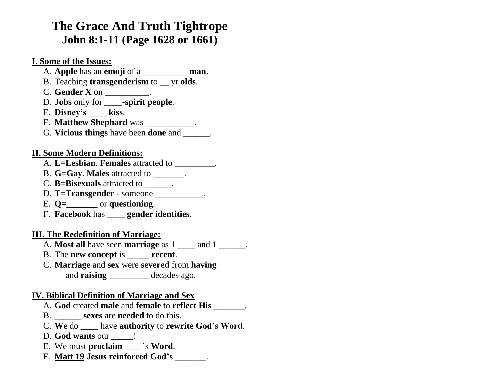# **The Grace And Truth Tightrope John 8:1-11 (Page 1628 or 1661)**

**I. Some of the Issues:**

- A. **Apple** has an **emoji** of a \_\_\_\_\_\_\_\_\_\_ **man**.
- B. Teaching **transgenderism** to \_\_ yr **olds**.
- C. **Gender X** on \_\_\_\_\_\_\_\_\_\_.
- D. **Jobs** only for \_\_\_\_-**spirit people**.
- E. **Disney's** \_\_\_\_ **kiss**.
- F. **Matthew Shephard** was \_\_\_\_\_\_\_\_\_\_\_.
- G. **Vicious things** have been **done** and \_\_\_\_\_\_.

#### **II. Some Modern Definitions:**

- A. **L=Lesbian**. **Females** attracted to \_\_\_\_\_\_\_\_\_.
- B. **G=Gay**. **Males** attracted to \_\_\_\_\_\_\_.
- C. **B=Bisexuals** attracted to \_\_\_\_\_\_.
- D. **T=Transgender** someone
- E. **Q=\_\_\_\_\_\_\_** or **questioning**.
- F. **Facebook** has \_\_\_\_ **gender identities**.

## **III. The Redefinition of Marriage:**

- A. **Most all** have seen **marriage** as 1 \_\_\_\_ and 1 \_\_\_\_\_\_.
- B. The **new concept** is \_\_\_\_\_ **recent**.
- C. **Marriage** and **sex** were **severed** from **having** and **raising** decades ago.

## **IV. Biblical Definition of Marriage and Sex**

- A. **God** created **male** and **female** to **reflect His** \_\_\_\_\_\_\_.
- B. \_\_\_\_\_\_ **sexes** are **needed** to do this.
- C. **We** do \_\_\_\_ have **authority** to **rewrite God's Word**.
- D. **God wants** our l
- E. We must **proclaim** \_\_\_\_'s **Word**.
- F. **Matt 19 Jesus reinforced God's** \_\_\_\_\_\_\_.